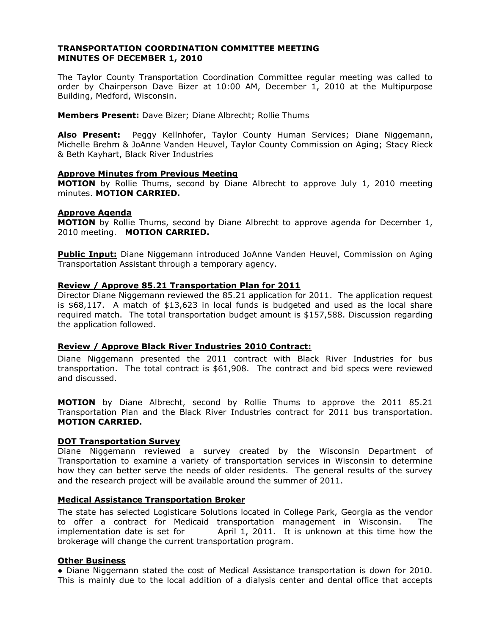## **TRANSPORTATION COORDINATION COMMITTEE MEETING MINUTES OF DECEMBER 1, 2010**

The Taylor County Transportation Coordination Committee regular meeting was called to order by Chairperson Dave Bizer at 10:00 AM, December 1, 2010 at the Multipurpose Building, Medford, Wisconsin.

**Members Present:** Dave Bizer; Diane Albrecht; Rollie Thums

**Also Present:** Peggy Kellnhofer, Taylor County Human Services; Diane Niggemann, Michelle Brehm & JoAnne Vanden Heuvel, Taylor County Commission on Aging; Stacy Rieck & Beth Kayhart, Black River Industries

## **Approve Minutes from Previous Meeting**

**MOTION** by Rollie Thums, second by Diane Albrecht to approve July 1, 2010 meeting minutes. **MOTION CARRIED.**

## **Approve Agenda**

**MOTION** by Rollie Thums, second by Diane Albrecht to approve agenda for December 1, 2010 meeting. **MOTION CARRIED.**

**Public Input:** Diane Niggemann introduced JoAnne Vanden Heuvel, Commission on Aging Transportation Assistant through a temporary agency.

## **Review / Approve 85.21 Transportation Plan for 2011**

Director Diane Niggemann reviewed the 85.21 application for 2011. The application request is \$68,117. A match of \$13,623 in local funds is budgeted and used as the local share required match. The total transportation budget amount is \$157,588. Discussion regarding the application followed.

# **Review / Approve Black River Industries 2010 Contract:**

Diane Niggemann presented the 2011 contract with Black River Industries for bus transportation. The total contract is \$61,908. The contract and bid specs were reviewed and discussed.

**MOTION** by Diane Albrecht, second by Rollie Thums to approve the 2011 85.21 Transportation Plan and the Black River Industries contract for 2011 bus transportation. **MOTION CARRIED.**

#### **DOT Transportation Survey**

Diane Niggemann reviewed a survey created by the Wisconsin Department of Transportation to examine a variety of transportation services in Wisconsin to determine how they can better serve the needs of older residents. The general results of the survey and the research project will be available around the summer of 2011.

## **Medical Assistance Transportation Broker**

The state has selected Logisticare Solutions located in College Park, Georgia as the vendor to offer a contract for Medicaid transportation management in Wisconsin. The implementation date is set for April 1, 2011. It is unknown at this time how the brokerage will change the current transportation program.

# **Other Business**

● Diane Niggemann stated the cost of Medical Assistance transportation is down for 2010. This is mainly due to the local addition of a dialysis center and dental office that accepts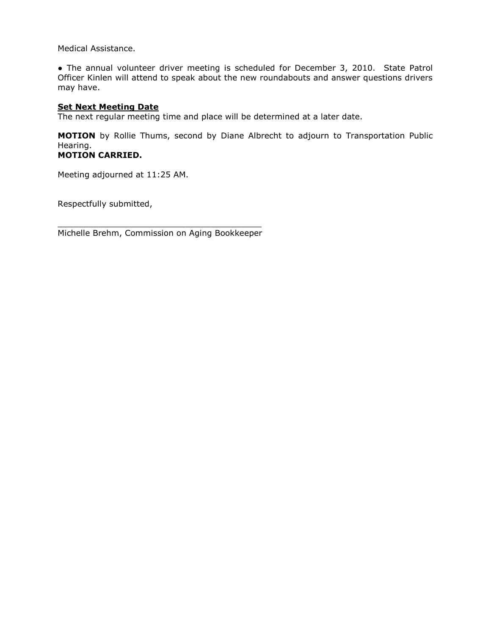Medical Assistance.

• The annual volunteer driver meeting is scheduled for December 3, 2010. State Patrol Officer Kinlen will attend to speak about the new roundabouts and answer questions drivers may have.

## **Set Next Meeting Date**

The next regular meeting time and place will be determined at a later date.

**MOTION** by Rollie Thums, second by Diane Albrecht to adjourn to Transportation Public Hearing. **MOTION CARRIED.**

Meeting adjourned at 11:25 AM.

Respectfully submitted,

\_\_\_\_\_\_\_\_\_\_\_\_\_\_\_\_\_\_\_\_\_\_\_\_\_\_\_\_\_\_\_\_\_\_\_\_\_\_\_\_ Michelle Brehm, Commission on Aging Bookkeeper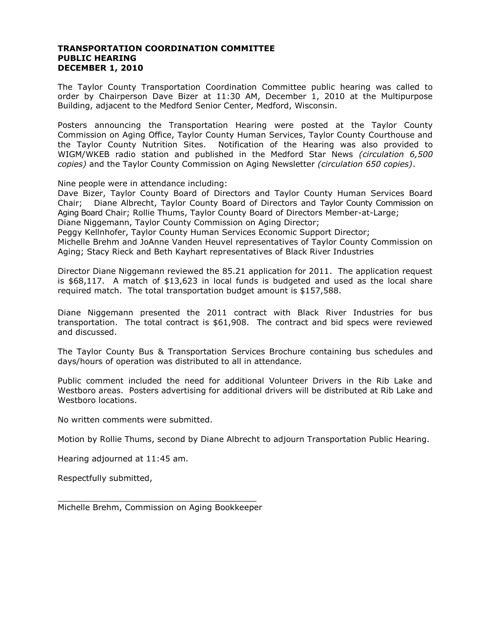## **TRANSPORTATION COORDINATION COMMITTEE PUBLIC HEARING DECEMBER 1, 2010**

The Taylor County Transportation Coordination Committee public hearing was called to order by Chairperson Dave Bizer at 11:30 AM, December 1, 2010 at the Multipurpose Building, adjacent to the Medford Senior Center, Medford, Wisconsin.

Posters announcing the Transportation Hearing were posted at the Taylor County Commission on Aging Office, Taylor County Human Services, Taylor County Courthouse and the Taylor County Nutrition Sites. Notification of the Hearing was also provided to WIGM/WKEB radio station and published in the Medford Star News *(circulation 6,500 copies)* and the Taylor County Commission on Aging Newsletter *(circulation 650 copies)*.

Nine people were in attendance including:

Dave Bizer, Taylor County Board of Directors and Taylor County Human Services Board Chair; Diane Albrecht, Taylor County Board of Directors and Taylor County Commission on Aging Board Chair; Rollie Thums, Taylor County Board of Directors Member-at-Large; Diane Niggemann, Taylor County Commission on Aging Director;

Peggy Kellnhofer, Taylor County Human Services Economic Support Director;

Michelle Brehm and JoAnne Vanden Heuvel representatives of Taylor County Commission on Aging; Stacy Rieck and Beth Kayhart representatives of Black River Industries

Director Diane Niggemann reviewed the 85.21 application for 2011. The application request is \$68,117. A match of \$13,623 in local funds is budgeted and used as the local share required match. The total transportation budget amount is \$157,588.

Diane Niggemann presented the 2011 contract with Black River Industries for bus transportation. The total contract is \$61,908. The contract and bid specs were reviewed and discussed.

The Taylor County Bus & Transportation Services Brochure containing bus schedules and days/hours of operation was distributed to all in attendance.

Public comment included the need for additional Volunteer Drivers in the Rib Lake and Westboro areas. Posters advertising for additional drivers will be distributed at Rib Lake and Westboro locations.

No written comments were submitted.

Motion by Rollie Thums, second by Diane Albrecht to adjourn Transportation Public Hearing.

Hearing adjourned at 11:45 am.

Respectfully submitted,

\_\_\_\_\_\_\_\_\_\_\_\_\_\_\_\_\_\_\_\_\_\_\_\_\_\_\_\_\_\_\_\_\_\_\_\_\_\_\_ Michelle Brehm, Commission on Aging Bookkeeper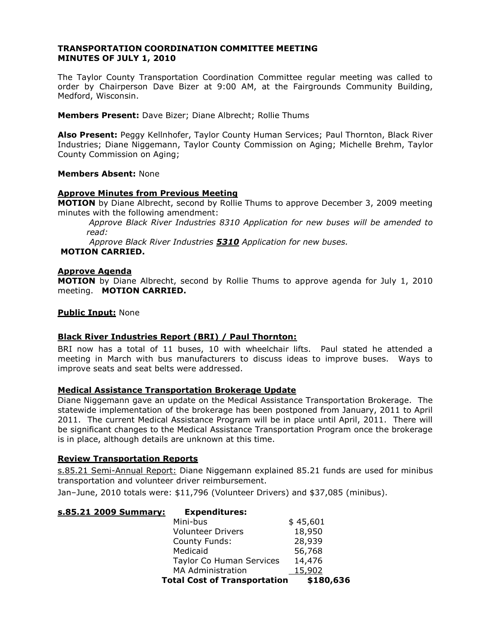# **TRANSPORTATION COORDINATION COMMITTEE MEETING MINUTES OF JULY 1, 2010**

The Taylor County Transportation Coordination Committee regular meeting was called to order by Chairperson Dave Bizer at 9:00 AM, at the Fairgrounds Community Building, Medford, Wisconsin.

**Members Present:** Dave Bizer; Diane Albrecht; Rollie Thums

**Also Present:** Peggy Kellnhofer, Taylor County Human Services; Paul Thornton, Black River Industries; Diane Niggemann, Taylor County Commission on Aging; Michelle Brehm, Taylor County Commission on Aging;

## **Members Absent:** None

## **Approve Minutes from Previous Meeting**

**MOTION** by Diane Albrecht, second by Rollie Thums to approve December 3, 2009 meeting minutes with the following amendment:

*Approve Black River Industries 8310 Application for new buses will be amended to read:* 

*Approve Black River Industries 5310 Application for new buses.*

# **MOTION CARRIED.**

## **Approve Agenda**

**MOTION** by Diane Albrecht, second by Rollie Thums to approve agenda for July 1, 2010 meeting. **MOTION CARRIED.**

## **Public Input:** None

# **Black River Industries Report (BRI) / Paul Thornton:**

BRI now has a total of 11 buses, 10 with wheelchair lifts. Paul stated he attended a meeting in March with bus manufacturers to discuss ideas to improve buses. Ways to improve seats and seat belts were addressed.

#### **Medical Assistance Transportation Brokerage Update**

Diane Niggemann gave an update on the Medical Assistance Transportation Brokerage. The statewide implementation of the brokerage has been postponed from January, 2011 to April 2011. The current Medical Assistance Program will be in place until April, 2011. There will be significant changes to the Medical Assistance Transportation Program once the brokerage is in place, although details are unknown at this time.

#### **Review Transportation Reports**

s.85.21 Semi-Annual Report: Diane Niggemann explained 85.21 funds are used for minibus transportation and volunteer driver reimbursement.

Jan–June, 2010 totals were: \$11,796 (Volunteer Drivers) and \$37,085 (minibus).

#### **s.85.21 2009 Summary: Expenditures:**

| <b>Total Cost of Transportation</b> | \$180,636 |
|-------------------------------------|-----------|
| <b>MA Administration</b>            | 15,902    |
| Taylor Co Human Services            | 14,476    |
| Medicaid                            | 56,768    |
| County Funds:                       | 28,939    |
| <b>Volunteer Drivers</b>            | 18,950    |
| Mini-bus                            | \$45,601  |